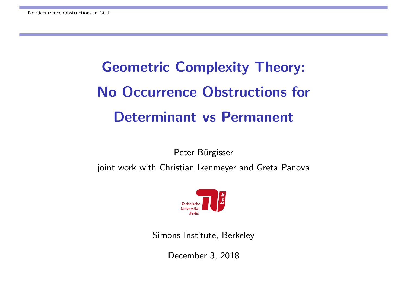# Geometric Complexity Theory: No Occurrence Obstructions for Determinant vs Permanent

Peter Bürgisser

joint work with Christian Ikenmeyer and Greta Panova



Simons Institute, Berkeley

December 3, 2018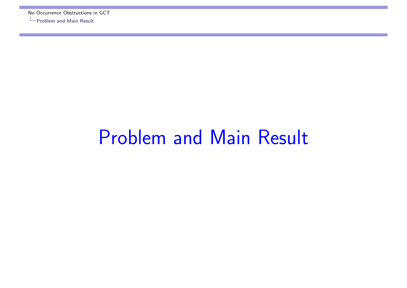## Problem and Main Result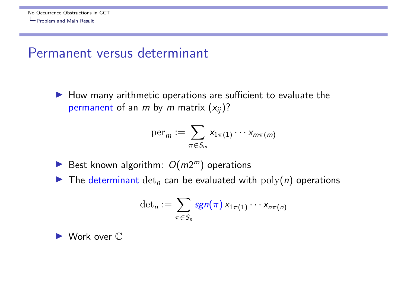#### Permanent versus determinant

 $\blacktriangleright$  How many arithmetic operations are sufficient to evaluate the permanent of an *m* by *m* matrix (*xij*)?

$$
\mathrm{per}_m := \sum_{\pi \in S_m} x_{1\pi(1)} \cdots x_{m\pi(m)}
$$

- Best known algorithm:  $O(m2^m)$  operations
- $\blacktriangleright$  The determinant  $\det_n$  can be evaluated with  $\operatorname{poly}(n)$  operations

$$
\det_n := \sum_{\pi \in S_n} \mathbf{sgn}(\pi) \, x_{1\pi(1)} \cdots x_{n\pi(n)}
$$

▶ Work over  $\mathbb C$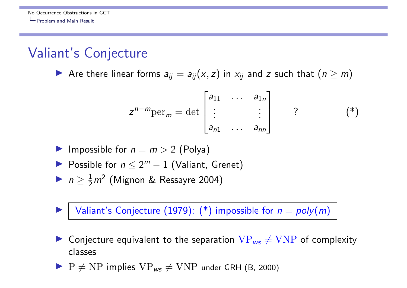#### Valiant's Conjecture

Are there linear forms  $a_{ij} = a_{ij}(x, z)$  in  $x_{ij}$  and *z* such that  $(n \ge m)$ 

$$
z^{n-m} \text{per}_m = \det \begin{bmatrix} a_{11} & \cdots & a_{1n} \\ \vdots & & \vdots \\ a_{n1} & \cdots & a_{nn} \end{bmatrix} \qquad ? \qquad (*)
$$

- **Impossible for**  $n = m > 2$  **(Polya)**
- Possible for  $n \leq 2^m 1$  (Valiant, Grenet)
- **I**  $n \geq \frac{1}{2}m^2$  (Mignon & Ressayre 2004)

Valiant's Conjecture (1979):  $(*)$  impossible for  $n = poly(m)$ 

- Conjecture equivalent to the separation  $VP_{ws} \neq VNP$  of complexity classes
- $\triangleright$  P  $\neq$  NP implies  $VP_{ws} \neq VNP$  under GRH (B, 2000)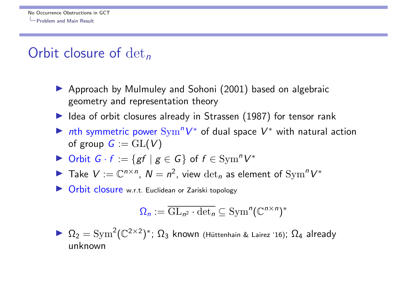#### Orbit closure of det*<sup>n</sup>*

- ▶ Approach by Mulmuley and Sohoni (2001) based on algebraic geometry and representation theory
- $\blacktriangleright$  Idea of orbit closures already in Strassen (1987) for tensor rank
- In the symmetric power  $\text{Sym}^n V^*$  of dual space  $V^*$  with natural action of group  $G := GL(V)$
- If Orbit  $G \cdot f := \{ gf \mid g \in G \}$  of  $f \in \text{Sym}^n V^*$
- ▶ Take  $V := \mathbb{C}^{n \times n}$ ,  $N = n^2$ , view  $\det_n$  as element of  $\operatorname{Sym}^n V^*$
- **In Orbit closure** w.r.t. Euclidean or Zariski topology

$$
\Omega_n := \overline{\mathrm{GL}_{n^2} \cdot \det_n} \subseteq \mathrm{Sym}^n(\mathbb{C}^{n \times n})^*
$$

 $\blacktriangleright \ \Omega_2 = \mathrm{Sym}^2(\mathbb{C}^{2\times 2})^*; \ \Omega_3$  known (Hüttenhain & Lairez '16);  $\Omega_4$  already unknown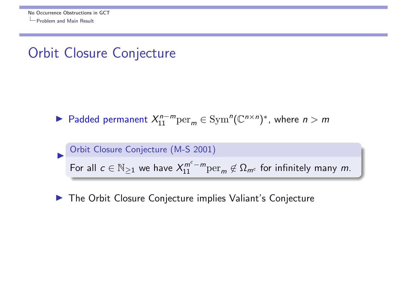#### Orbit Closure Conjecture

▶ Padded permanent  $X_{11}^{n-m}$  per $_m$   $\in$  Sym<sup>n</sup>( $\mathbb{C}^{n \times n}$ )<sup>\*</sup>, where  $n > m$ 

#### Orbit Closure Conjecture (M-S 2001) For all  $c \in \mathbb{N}_{\geq 1}$  we have  $X_{11}^{m^c-m} \text{per}_m \not\in \Omega_{m^c}$  for infinitely many  $m$ .

 $\blacktriangleright$  The Orbit Closure Conjecture implies Valiant's Conjecture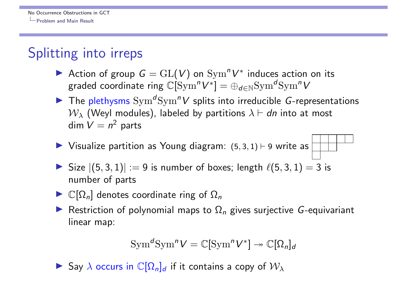#### Splitting into irreps

- Action of group  $G = GL(V)$  on  $Sym^n V^*$  induces action on its graded coordinate ring  $\mathbb{C}[\mathrm{Sym}^n V^*] = \bigoplus_{d \in \mathbb{N}} \mathrm{Sym}^d \mathrm{Sym}^n V$
- **I** The plethysms  $Sym^dSym^n V$  splits into irreducible *G*-representations  $W_{\lambda}$  (Weyl modules), labeled by partitions  $\lambda \vdash dn$  into at most dim  $V = n^2$  parts
- $\blacktriangleright$  Visualize partition as Young diagram:  $(5, 3, 1) \vdash 9$  write as

► Size 
$$
|(5,3,1)| := 9
$$
 is number of boxes; length  $\ell(5,3,1) = 3$  is number of parts

- $\blacktriangleright$   $\mathbb{C}[\Omega_n]$  denotes coordinate ring of  $\Omega_n$
- **I** Restriction of polynomial maps to  $\Omega_n$  gives surjective *G*-equivariant linear map:

$$
\operatorname{Sym}^{d} \operatorname{Sym}^{n} V = \mathbb{C}[\operatorname{Sym}^{n} V^{*}] \rightarrow \mathbb{C}[\Omega_{n}]_{d}
$$

 $\blacktriangleright$  Say  $\lambda$  occurs in  $\mathbb{C}[\Omega_n]_d$  if it contains a copy of  $\mathcal{W}_\lambda$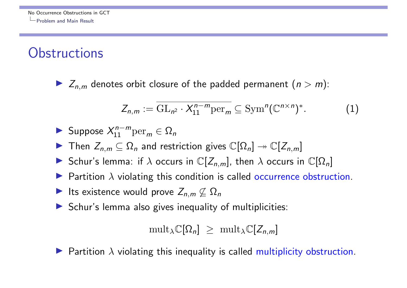#### **Obstructions**

 $\blacktriangleright$   $Z_{n,m}$  denotes orbit closure of the padded permanent  $(n > m)$ :

$$
Z_{n,m} := \overline{\mathrm{GL}_{n^2} \cdot X_{11}^{n-m} \mathrm{per}_m} \subseteq \mathrm{Sym}^n (\mathbb{C}^{n \times n})^*.
$$
 (1)

$$
\blacktriangleright \text{ Suppose } X_{11}^{n-m} \text{per}_m \in \Omega_n
$$

- **I** Then  $Z_{n,m} \subseteq \Omega_n$  and restriction gives  $\mathbb{C}[\Omega_n] \rightarrow \mathbb{C}[Z_{n,m}]$
- Schur's lemma: if  $\lambda$  occurs in  $\mathbb{C}[Z_{n,m}]$ , then  $\lambda$  occurs in  $\mathbb{C}[\Omega_n]$
- Partition  $\lambda$  violating this condition is called occurrence obstruction.
- Its existence would prove  $Z_{n,m} \nsubseteq \Omega_n$
- $\triangleright$  Schur's lemma also gives inequality of multiplicities:

$$
\mathrm{mult}_{\lambda}\mathbb{C}[\Omega_n] \geq \mathrm{mult}_{\lambda}\mathbb{C}[Z_{n,m}]
$$

**Partition**  $\lambda$  violating this inequality is called multiplicity obstruction.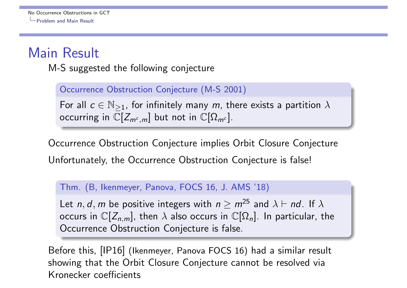## Main Result

M-S suggested the following conjecture

Occurrence Obstruction Conjecture (M-S 2001)

For all  $c \in \mathbb{N}_{\geq 1}$ , for infinitely many *m*, there exists a partition  $\lambda$ occurring in  $\mathbb{C}[Z_{m^c,m}]$  but not in  $\mathbb{C}[\Omega_{m^c}]$ .

Occurrence Obstruction Conjecture implies Orbit Closure Conjecture Unfortunately, the Occurrence Obstruction Conjecture is false!

Thm. (B, Ikenmeyer, Panova, FOCS 16, J. AMS '18)

Let *n*, *d*, *m* be positive integers with  $n > m^{25}$  and  $\lambda \vdash nd$ . If  $\lambda$ occurs in  $\mathbb{C}[Z_{n,m}]$ , then  $\lambda$  also occurs in  $\mathbb{C}[\Omega_n]$ . In particular, the Occurrence Obstruction Conjecture is false.

Before this, [IP16] (Ikenmeyer, Panova FOCS 16) had a similar result showing that the Orbit Closure Conjecture cannot be resolved via Kronecker coefficients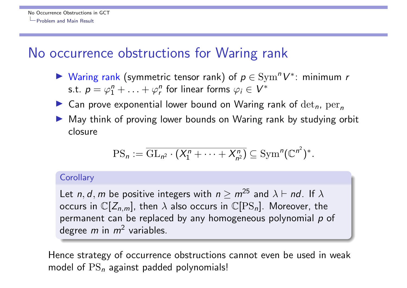#### No occurrence obstructions for Waring rank

- **I** Waring rank (symmetric tensor rank) of  $p \in \mathrm{Sym}^n V^*$ : minimum *r* s.t.  $p = \varphi_1^n + \ldots + \varphi_r^n$  for linear forms  $\varphi_i \in V^*$
- **I** Can prove exponential lower bound on Waring rank of  $det_n$ ,  $per_n$
- I May think of proving lower bounds on Waring rank by studying orbit closure

$$
\mathrm{PS}_n := \overline{\mathrm{GL}_{n^2} \cdot (X_1^n + \cdots + X_{n^2}^n)} \subseteq \mathrm{Sym}^n(\mathbb{C}^{n^2})^*.
$$

#### **Corollary**

Let *n*, *d*, *m* be positive integers with  $n \ge m^{25}$  and  $\lambda \vdash nd$ . If  $\lambda$ occurs in  $\mathbb{C}[Z_{n,m}]$ , then  $\lambda$  also occurs in  $\mathbb{C}[PS_n]$ . Moreover, the permanent can be replaced by any homogeneous polynomial *p* of degree *m* in *m*<sup>2</sup> variables.

Hence strategy of occurrence obstructions cannot even be used in weak model of PS*<sup>n</sup>* against padded polynomials!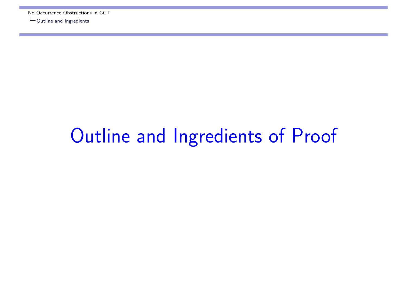# Outline and Ingredients of Proof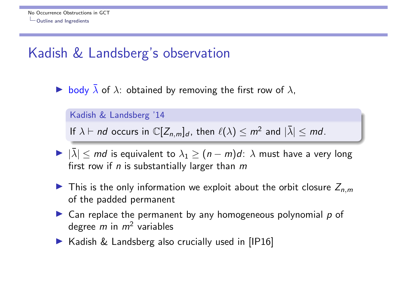## Kadish & Landsberg's observation

body  $\bar{\lambda}$  of  $\lambda$ : obtained by removing the first row of  $\lambda$ ,

Kadish & Landsberg '14

If  $\lambda \vdash nd$  occurs in  $\mathbb{C}[Z_{n,m}]_d$ , then  $\ell(\lambda) \leq m^2$  and  $|\lambda| \leq md$ .

- $\blacktriangleright$   $|\bar{\lambda}| \leq md$  is equivalent to  $\lambda_1 \geq (n-m)d$ :  $\lambda$  must have a very long first row if *n* is substantially larger than *m*
- **If** This is the only information we exploit about the orbit closure  $Z_{n,m}$ of the padded permanent
- ▶ Can replace the permanent by any homogeneous polynomial p of degree *m* in *m*<sup>2</sup> variables
- $\blacktriangleright$  Kadish & Landsberg also crucially used in [IP16]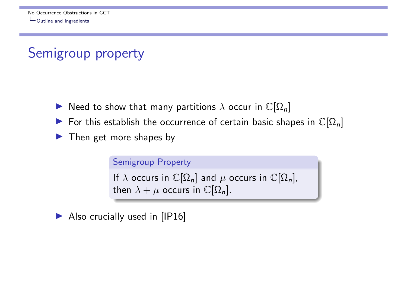## Semigroup property

- $\blacktriangleright$  Need to show that many partitions  $\lambda$  occur in  $\mathbb{C}[\Omega_n]$
- For this establish the occurrence of certain basic shapes in  $\mathbb{C}[\Omega_n]$
- $\blacktriangleright$  Then get more shapes by

```
Semigroup Property
If \lambda occurs in \mathbb{C}[\Omega_n] and \mu occurs in \mathbb{C}[\Omega_n],
then \lambda + \mu occurs in \mathbb{C}[\Omega_n].
```
 $\blacktriangleright$  Also crucially used in [IP16]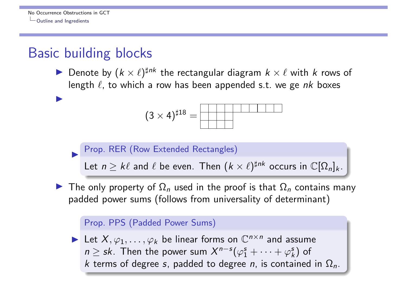I

#### Basic building blocks

**I** Denote by  $(k \times \ell)^{\sharp nk}$  the rectangular diagram  $k \times \ell$  with  $k$  rows of length  $\ell$ , to which a row has been appended s.t. we ge  $nk$  boxes

$$
(3\times4)^{\sharp18}=\boxed{\qquad \qquad }
$$

Prop. RER (Row Extended Rectangles)

Let  $n \geq k\ell$  and  $\ell$  be even. Then  $(k \times \ell)^{\sharp n k}$  occurs in  $\mathbb{C}[\Omega_n]_k$ .

**If The only property of**  $\Omega_n$  **used in the proof is that**  $\Omega_n$  **contains many** padded power sums (follows from universality of determinant)

#### Prop. PPS (Padded Power Sums)

 $\blacktriangleright$  Let  $X, \varphi_1, \ldots, \varphi_k$  be linear forms on  $\mathbb{C}^{n \times n}$  and assume  $n \geq sk$ . Then the power sum  $X^{n-s}(\varphi_1^s + \cdots + \varphi_k^s)$  of *k* terms of degree *s*, padded to degree *n*, is contained in  $\Omega_n$ .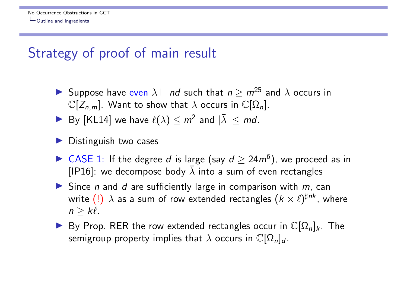#### Strategy of proof of main result

- **If** Suppose have even  $\lambda \vdash nd$  such that  $n > m^{25}$  and  $\lambda$  occurs in  $\mathbb{C}[Z_{n,m}]$ . Want to show that  $\lambda$  occurs in  $\mathbb{C}[\Omega_n]$ .
- $\blacktriangleright$  By [KL14] we have  $\ell(\lambda) \leq m^2$  and  $|\bar{\lambda}| \leq md$ .
- Distinguish two cases
- ▶ CASE 1: If the degree *d* is large (say  $d \ge 24m^6$ ), we proceed as in [IP16]: we decompose body  $\overline{\lambda}$  into a sum of even rectangles
- $\blacktriangleright$  Since *n* and *d* are sufficiently large in comparison with *m*, can write (!)  $\lambda$  as a sum of row extended rectangles  $(k \times \ell)^{\sharp nk}$ , where  $n \geq k\ell$ .
- $\blacktriangleright$  By Prop. RER the row extended rectangles occur in  $\mathbb{C}[\Omega_n]_k$ . The semigroup property implies that  $\lambda$  occurs in  $\mathbb{C}[\Omega_n]_d$ .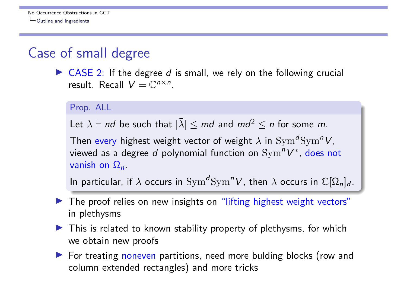#### Case of small degree

▶ CASE 2: If the degree *d* is small, we rely on the following crucial result. Recall  $V = \mathbb{C}^{n \times n}$ .

```
Prop. ALL
```
Let  $\lambda \vdash nd$  be such that  $|\bar{\lambda}| \leq md$  and  $md^2 \leq n$  for some m.

Then every highest weight vector of weight  $\lambda$  in Sym<sup> $d$ </sup>Sym<sup>n</sup>V, viewed as a degree *d* polynomial function on Sym<sup>n</sup>V<sup>\*</sup>, does not vanish on  $\Omega_n$ .

In particular, if  $\lambda$  occurs in  $\text{Sym}^d\text{Sym}^n V$ , then  $\lambda$  occurs in  $\mathbb{C}[\Omega_n]_d$ .

- Intertagated The proof relies on new insights on "lifting highest weight vectors" in plethysms
- $\blacktriangleright$  This is related to known stability property of plethysms, for which we obtain new proofs
- ▶ For treating noneven partitions, need more bulding blocks (row and column extended rectangles) and more tricks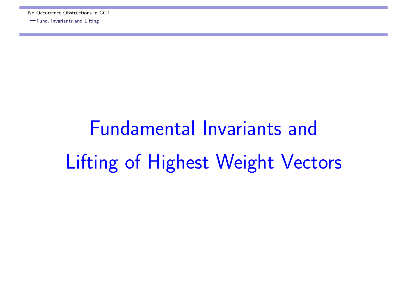# Fundamental Invariants and Lifting of Highest Weight Vectors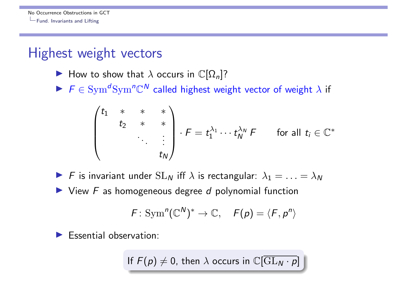#### Highest weight vectors

- **If** How to show that  $\lambda$  occurs in  $\mathbb{C}[\Omega_n]$ ?
- $F \in \text{Sym}^d\text{Sym}^n\mathbb{C}^N$  called highest weight vector of weight  $\lambda$  if

$$
\begin{pmatrix} t_1 & * & * & * \\ & t_2 & * & * \\ & & \ddots & \vdots \\ & & & t_N \end{pmatrix} \cdot F = t_1^{\lambda_1} \cdots t_N^{\lambda_N} F \quad \text{for all } t_i \in \mathbb{C}^*
$$

- $\blacktriangleright$  *F* is invariant under  $SL_N$  iff  $\lambda$  is rectangular:  $\lambda_1 = \ldots = \lambda_N$
- ▶ View *F* as homogeneous degree *d* polynomial function

$$
F: \mathrm{Sym}^n(\mathbb{C}^N)^* \to \mathbb{C}, \quad F(p) = \langle F, p^n \rangle
$$

**Essential observation:** 

If  $F(p) \neq 0$ , then  $\lambda$  occurs in  $\mathbb{C}[\overline{\mathrm{GL}_N \cdot p}]$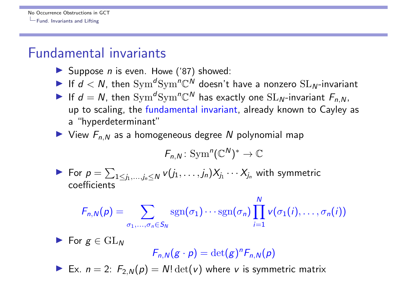#### Fundamental invariants

- ▶ Suppose *n* is even. Howe ('87) showed:
- If  $d < N$ , then  $\text{Sym}^d\text{Sym}^n\mathbb{C}^N$  doesn't have a nonzero  $\text{SL}_N$ -invariant
- If  $d = N$ , then  $\text{Sym}^d\text{Sym}^n\mathbb{C}^N$  has exactly one  $\text{SL}_N$ -invariant  $F_{n,N}$ , up to scaling, the fundamental invariant, already known to Cayley as a "hyperdeterminant"
- $\blacktriangleright$  View  $F_{n,N}$  as a homogeneous degree N polynomial map

$$
F_{n,N}\colon \mathrm{Sym}^n(\mathbb{C}^N)^*\to \mathbb{C}
$$

For  $p = \sum_{1 \leq j_1, \ldots, j_n \leq N} v(j_1, \ldots, j_n) X_{j_1} \cdots X_{j_n}$  with symmetric coefficients

$$
F_{n,N}(p) = \sum_{\sigma_1,\ldots,\sigma_n \in S_N} \operatorname{sgn}(\sigma_1) \cdots \operatorname{sgn}(\sigma_n) \prod_{i=1}^N v(\sigma_1(i),\ldots,\sigma_n(i))
$$

 $\blacktriangleright$  For  $g \in GL_N$  $F_{n,N}(g \cdot p) = \det(g)^n F_{n,N}(p)$ Ex.  $n = 2$ :  $F_{2,N}(p) = N! \det(v)$  where *v* is symmetric matrix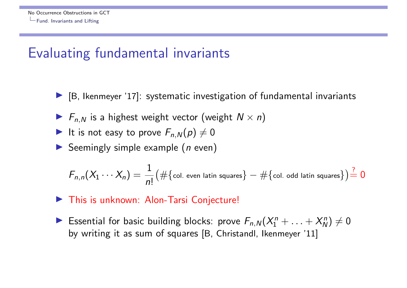#### Evaluating fundamental invariants

- $\blacktriangleright$  [B, Ikenmeyer '17]: systematic investigation of fundamental invariants
- $F_{n,N}$  is a highest weight vector (weight  $N \times n$ )
- It is not easy to prove  $F_{n,N}(p) \neq 0$
- **In Seemingly simple example (***n* even)

$$
F_{n,n}(X_1\cdots X_n)=\frac{1}{n!}(\#\{\text{col. even latin squares}\}-\#\{\text{col. odd latin squares}\})\frac{?}{=}0
$$

- This is unknown: Alon-Tarsi Conjecture!
- Essential for basic building blocks: prove  $F_{n,N}(X_1^n + \ldots + X_N^n) \neq 0$ by writing it as sum of squares [B, Christandl, Ikenmeyer '11]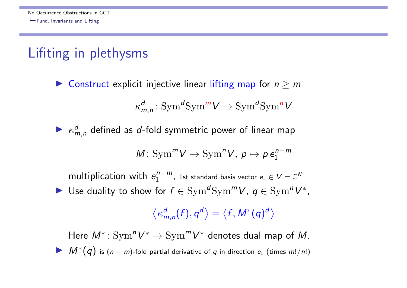## Lifiting in plethysms

**I** Construct explicit injective linear lifting map for  $n \geq m$ 

$$
\kappa_{m,n}^d\colon \text{Sym}^d \text{Sym}^m V \to \text{Sym}^d \text{Sym}^n V
$$

 $\blacktriangleright$   $\kappa_{m,n}^{d}$  defined as *d*-fold symmetric power of linear map

$$
M: \operatorname{Sym}^m V \to \operatorname{Sym}^n V, \ p \mapsto p \, e_1^{n-m}
$$

multiplication with  $e_1^{n-m}$ , 1st standard basis vector  $e_1 \in V = \mathbb{C}^N$ ▶ Use duality to show for  $f \in \text{Sym}^d \text{Sym}^m V$ ,  $q \in \text{Sym}^n V^*$ ,

 $\left\langle \kappa_{m,n}^{d}(f),q^{d}\right\rangle =\left\langle f,M^{\ast}(q)^{d}\right\rangle$ 

Here  $M^*: \text{Sym}^n V^* \to \text{Sym}^m V^*$  denotes dual map of M.  $M^*(q)$  is  $(n - m)$ -fold partial derivative of *q* in direction  $e_1$  (times  $m!/n!)$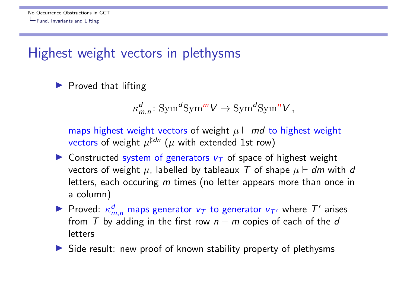#### Highest weight vectors in plethysms

 $\blacktriangleright$  Proved that lifting

$$
\kappa_{m,n}^d\colon \text{Sym}^d \text{Sym}^m V \to \text{Sym}^d \text{Sym}^n V,
$$

maps highest weight vectors of weight  $\mu \vdash md$  to highest weight vectors of weight  $\mu^{\sharp d_n}$  ( $\mu$  with extended 1st row)

- **I** Constructed system of generators  $v_T$  of space of highest weight vectors of weight  $\mu$ , labelled by tableaux T of shape  $\mu \vdash dm$  with d letters, each occuring *m* times (no letter appears more than once in a column)
- Proved:  $\kappa_{m,n}^d$  maps generator  $v_\mathcal{T}$  to generator  $v_{\mathcal{T}'}$  where  $\mathcal{T}'$  arises from  $T$  by adding in the first row  $n - m$  copies of each of the  $d$ letters
- $\triangleright$  Side result: new proof of known stability property of plethysms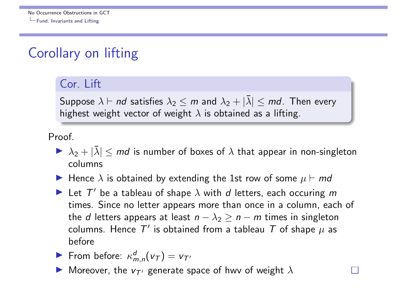## Corollary on lifting

#### Cor. Lift

Suppose  $\lambda \vdash nd$  satisfies  $\lambda_2 \leq m$  and  $\lambda_2 + |\overline{\lambda}| \leq md$ . Then every highest weight vector of weight  $\lambda$  is obtained as a lifting.

Proof.

- $\blacktriangleright \lambda_2 + |\bar{\lambda}| \leq m d$  is number of boxes of  $\lambda$  that appear in non-singleton columns
- **If** Hence  $\lambda$  is obtained by extending the 1st row of some  $\mu \vdash \textit{md}$
- $\blacktriangleright$  Let  $T'$  be a tableau of shape  $\lambda$  with *d* letters, each occuring *m* times. Since no letter appears more than once in a column, each of the *d* letters appears at least  $n - \lambda_2 \geq n - m$  times in singleton columns. Hence  $T'$  is obtained from a tableau  $T$  of shape  $\mu$  as before

$$
\blacktriangleright \text{ From before: } \kappa_{m,n}^d(\nu_\tau) = \nu_{\tau'}
$$

Moreover, the  $v_T$  generate space of hwv of weight  $\lambda$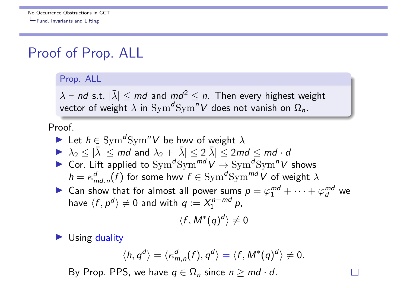#### Proof of Prop. ALL

#### Prop. ALL

 $\lambda \vdash nd$  s.t.  $|\overline{\lambda}| \leq md$  and  $md^2 \leq n$ . Then every highest weight vector of weight  $\lambda$  in  $\text{Sym}^d\text{Sym}^n V$  does not vanish on  $\Omega_n$ .

#### Proof.

Let 
$$
h \in \text{Sym}^d \text{Sym}^n V
$$
 be how of weight  $\lambda$   
\n $\lambda_2 \le |\bar{\lambda}| \le md$  and  $\lambda_2 + |\bar{\lambda}| \le 2|\bar{\lambda}| \le 2md \le md \cdot d$   
\nCor. Lift applied to  $\text{Sym}^d \text{Sym}^{md} V \to \text{Sym}^d \text{Sym}^n V$  shows  
\n $h = \kappa_{md,n}^d(f)$  for some how  $f \in \text{Sym}^d \text{Sym}^{md} V$  of weight  $\lambda$   
\nCan show that for almost all power sums  $p = \varphi_1^{md} + \cdots + \varphi_d^{md}$  we  
\nhave  $\langle f, p^d \rangle \ne 0$  and with  $q := X_1^{n-md} p$ ,  
\n $\langle f, M^*(q)^d \rangle \ne 0$ 

 $\blacktriangleright$  Using duality

$$
\langle h, q^d \rangle = \langle \kappa^d_{m,n}(f), q^d \rangle = \langle f, M^*(q)^d \rangle \neq 0.
$$

By Prop. PPS, we have  $q \in \Omega_n$  since  $n \geq md \cdot d$ .